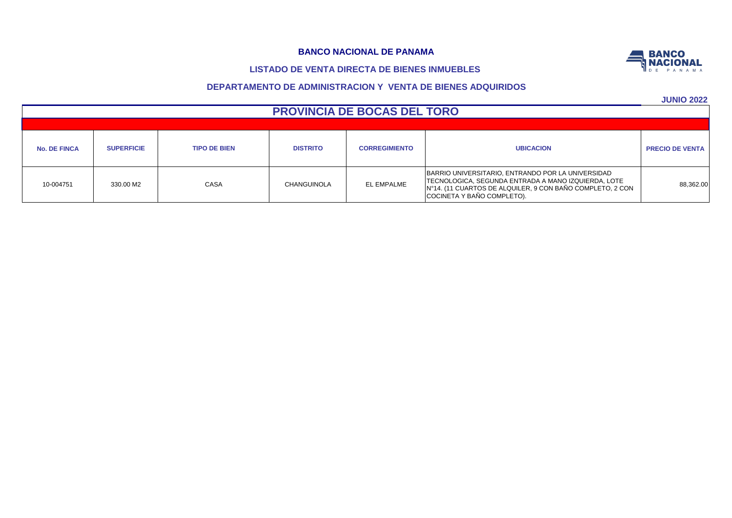# **LISTADO DE VENTA DIRECTA DE BIENES INMUEBLES**

# **DEPARTAMENTO DE ADMINISTRACION Y VENTA DE BIENES ADQUIRIDOS**

**JUNIO 2022**

| $\sim$                 |                                                                                                                                                                                                      |                      |                 |                     |                   |                     |  |  |  |  |  |  |
|------------------------|------------------------------------------------------------------------------------------------------------------------------------------------------------------------------------------------------|----------------------|-----------------|---------------------|-------------------|---------------------|--|--|--|--|--|--|
|                        | <b>PROVINCIA DE BOCAS DEL TORO</b>                                                                                                                                                                   |                      |                 |                     |                   |                     |  |  |  |  |  |  |
|                        |                                                                                                                                                                                                      |                      |                 |                     |                   |                     |  |  |  |  |  |  |
| <b>PRECIO DE VENTA</b> | <b>UBICACION</b>                                                                                                                                                                                     | <b>CORREGIMIENTO</b> | <b>DISTRITO</b> | <b>TIPO DE BIEN</b> | <b>SUPERFICIE</b> | <b>No. DE FINCA</b> |  |  |  |  |  |  |
| 88,362.00              | BARRIO UNIVERSITARIO, ENTRANDO POR LA UNIVERSIDAD<br>TECNOLOGICA, SEGUNDA ENTRADA A MANO IZQUIERDA, LOTE<br>IN°14. (11 CUARTOS DE ALQUILER, 9 CON BAÑO COMPLETO, 2 CON<br>COCINETA Y BAÑO COMPLETO). | EL EMPALME           | CHANGUINOLA     | CASA                | 330.00 M2         | 10-004751           |  |  |  |  |  |  |

**BANCO NACIONAL**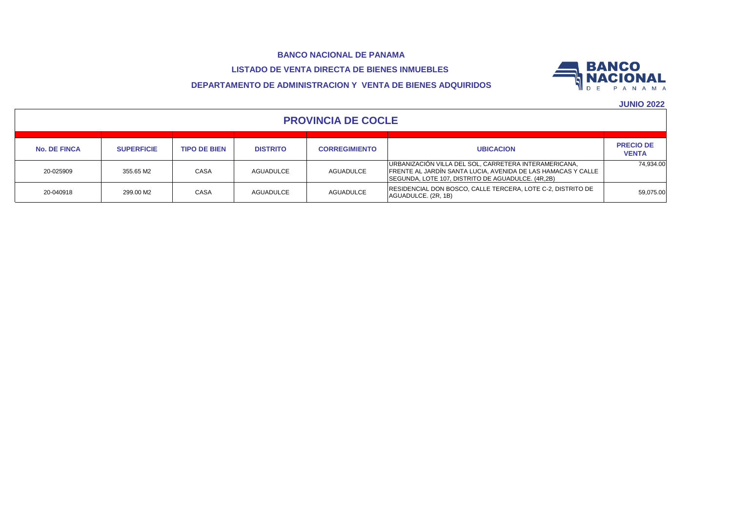**LISTADO DE VENTA DIRECTA DE BIENES INMUEBLES** 

# **DEPARTAMENTO DE ADMINISTRACION Y VENTA DE BIENES ADQUIRIDOS**



| <b>PROVINCIA DE COCLE</b> |                   |                     |                 |                      |                                                                                                                                                                            |                                  |  |  |  |  |  |
|---------------------------|-------------------|---------------------|-----------------|----------------------|----------------------------------------------------------------------------------------------------------------------------------------------------------------------------|----------------------------------|--|--|--|--|--|
| <b>No. DE FINCA</b>       | <b>SUPERFICIE</b> | <b>TIPO DE BIEN</b> | <b>DISTRITO</b> | <b>CORREGIMIENTO</b> | <b>UBICACION</b>                                                                                                                                                           | <b>PRECIO DE</b><br><b>VENTA</b> |  |  |  |  |  |
| 20-025909                 | 355.65 M2         | CASA                | AGUADULCE       | <b>AGUADULCE</b>     | URBANIZACIÓN VILLA DEL SOL, CARRETERA INTERAMERICANA,<br>FRENTE AL JARDÍN SANTA LUCIA, AVENIDA DE LAS HAMACAS Y CALLE<br>SEGUNDA, LOTE 107, DISTRITO DE AGUADULCE. (4R,2B) | 74.934.00                        |  |  |  |  |  |
| 20-040918                 | 299.00 M2         | <b>CASA</b>         | AGUADULCE       | <b>AGUADULCE</b>     | RESIDENCIAL DON BOSCO, CALLE TERCERA, LOTE C-2, DISTRITO DE<br>AGUADULCE. (2R, 1B)                                                                                         | 59,075.00                        |  |  |  |  |  |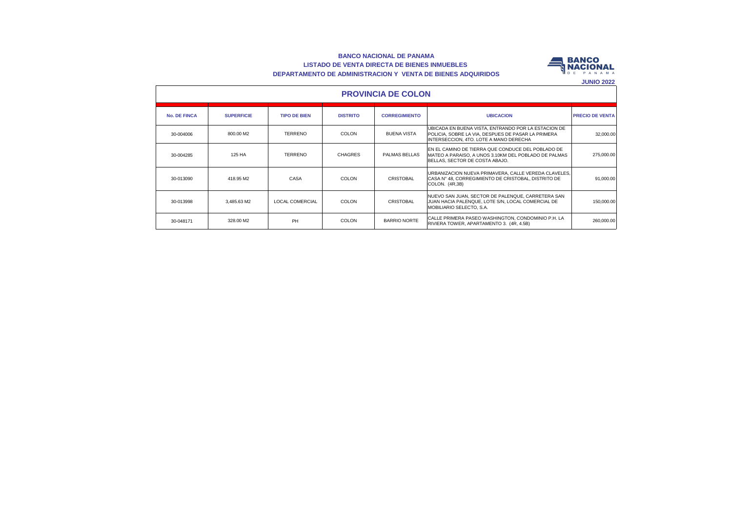#### **BANCO NACIONAL DE PANAMA LISTADO DE VENTA DIRECTA DE BIENES INMUEBLES DEPARTAMENTO DE ADMINISTRACION Y VENTA DE BIENES ADQUIRIDOS**



| <b>PROVINCIA DE COLON</b> |                   |                        |                 |                      |                                                                                                                                                     |                        |  |  |  |  |  |  |
|---------------------------|-------------------|------------------------|-----------------|----------------------|-----------------------------------------------------------------------------------------------------------------------------------------------------|------------------------|--|--|--|--|--|--|
| <b>No. DE FINCA</b>       | <b>SUPERFICIE</b> | <b>TIPO DE BIEN</b>    | <b>DISTRITO</b> | <b>CORREGIMIENTO</b> | <b>UBICACION</b>                                                                                                                                    | <b>PRECIO DE VENTA</b> |  |  |  |  |  |  |
| 30-004006                 | 800.00 M2         | <b>TERRENO</b>         | COLON           | <b>BUENA VISTA</b>   | UBICADA EN BUENA VISTA, ENTRANDO POR LA ESTACION DE<br>POLICIA, SOBRE LA VIA, DESPUES DE PASAR LA PRIMERA<br>INTERSECCION, 4TO, LOTE A MANO DERECHA | 32,000.00              |  |  |  |  |  |  |
| 30-004285                 | 125 HA            | <b>TERRENO</b>         | <b>CHAGRES</b>  | PALMAS BELLAS        | EN EL CAMINO DE TIERRA QUE CONDUCE DEL POBLADO DE<br>MATEO A PARAISO. A UNOS 3.10KM DEL POBLADO DE PALMAS<br>BELLAS, SECTOR DE COSTA ABAJO.         | 275,000.00             |  |  |  |  |  |  |
| 30-013090                 | 418.95 M2         | CASA                   | COLON           | CRISTOBAL            | URBANIZACION NUEVA PRIMAVERA, CALLE VEREDA CLAVELES.<br>CASA N° 48, CORREGIMIENTO DE CRISTOBAL, DISTRITO DE<br>COLON. (4R,3B)                       | 91,000.00              |  |  |  |  |  |  |
| 30-013998                 | 3.485.63 M2       | <b>LOCAL COMERCIAL</b> | COLON           | <b>CRISTOBAL</b>     | NUEVO SAN JUAN, SECTOR DE PALENQUE, CARRETERA SAN<br>JUAN HACIA PALENQUE, LOTE S/N, LOCAL COMERCIAL DE<br>MOBILIARIO SELECTO, S.A.                  | 150,000,00             |  |  |  |  |  |  |
| 30-048171                 | 328.00 M2         | <b>PH</b>              | COLON           | BARRIO NORTE         | CALLE PRIMERA PASEO WASHINGTON, CONDOMINIO P.H. LA<br>RIVIERA TOWER, APARTAMENTO 3. (4R, 4.5B)                                                      | 260,000.00             |  |  |  |  |  |  |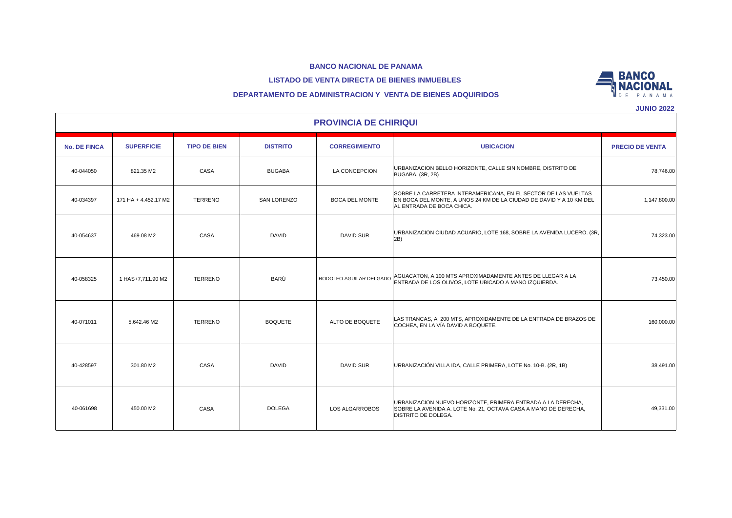#### **LISTADO DE VENTA DIRECTA DE BIENES INMUEBLES**



|  |  |  | <b>JUNIO 2022</b> |  |
|--|--|--|-------------------|--|
|  |  |  |                   |  |

**BANCO** 

|                     | <b>PROVINCIA DE CHIRIQUI</b> |                     |                    |                         |                                                                                                                                                                    |                        |  |  |  |  |  |  |
|---------------------|------------------------------|---------------------|--------------------|-------------------------|--------------------------------------------------------------------------------------------------------------------------------------------------------------------|------------------------|--|--|--|--|--|--|
| <b>No. DE FINCA</b> | <b>SUPERFICIE</b>            | <b>TIPO DE BIEN</b> | <b>DISTRITO</b>    | <b>CORREGIMIENTO</b>    | <b>UBICACION</b>                                                                                                                                                   | <b>PRECIO DE VENTA</b> |  |  |  |  |  |  |
| 40-044050           | 821.35 M2                    | CASA                | <b>BUGABA</b>      | LA CONCEPCION           | URBANIZACION BELLO HORIZONTE, CALLE SIN NOMBRE, DISTRITO DE<br>BUGABA. (3R, 2B)                                                                                    | 78,746.00              |  |  |  |  |  |  |
| 40-034397           | 171 HA + 4.452.17 M2         | <b>TERRENO</b>      | <b>SAN LORENZO</b> | <b>BOCA DEL MONTE</b>   | SOBRE LA CARRETERA INTERAMERICANA, EN EL SECTOR DE LAS VUELTAS<br>EN BOCA DEL MONTE. A UNOS 24 KM DE LA CIUDAD DE DAVID Y A 10 KM DEL<br>AL ENTRADA DE BOCA CHICA. | 1,147,800.00           |  |  |  |  |  |  |
| 40-054637           | 469.08 M2                    | CASA                | <b>DAVID</b>       | <b>DAVID SUR</b>        | URBANIZACION CIUDAD ACUARIO, LOTE 168, SOBRE LA AVENIDA LUCERO. (3R,<br>2B)                                                                                        | 74,323.00              |  |  |  |  |  |  |
| 40-058325           | 1 HAS+7,711.90 M2            | <b>TERRENO</b>      | BARÚ               | RODOLFO AGUILAR DELGADO | AGUACATON, A 100 MTS APROXIMADAMENTE ANTES DE LLEGAR A LA<br>ENTRADA DE LOS OLIVOS, LOTE UBICADO A MANO IZQUIERDA.                                                 | 73,450.00              |  |  |  |  |  |  |
| 40-071011           | 5,642.46 M2                  | <b>TERRENO</b>      | <b>BOQUETE</b>     | ALTO DE BOQUETE         | LAS TRANCAS, A 200 MTS, APROXIDAMENTE DE LA ENTRADA DE BRAZOS DE<br>COCHEA, EN LA VÍA DAVID A BOQUETE.                                                             | 160,000.00             |  |  |  |  |  |  |
| 40-428597           | 301.80 M2                    | CASA                | <b>DAVID</b>       | <b>DAVID SUR</b>        | URBANIZACIÓN VILLA IDA, CALLE PRIMERA, LOTE No. 10-B. (2R, 1B)                                                                                                     | 38,491.00              |  |  |  |  |  |  |
| 40-061698           | 450.00 M2                    | CASA                | <b>DOLEGA</b>      | LOS ALGARROBOS          | URBANIZACION NUEVO HORIZONTE, PRIMERA ENTRADA A LA DERECHA,<br>SOBRE LA AVENIDA A. LOTE No. 21, OCTAVA CASA A MANO DE DERECHA,<br>DISTRITO DE DOLEGA.              | 49,331.00              |  |  |  |  |  |  |

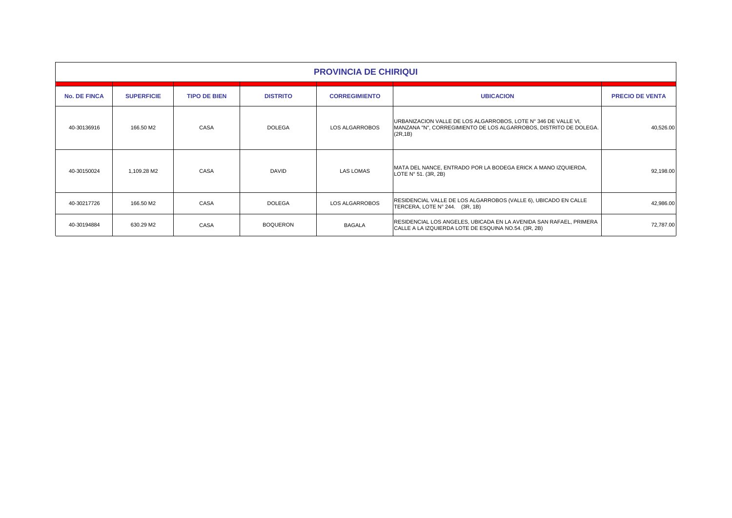|                     | <b>PROVINCIA DE CHIRIQUI</b> |                     |                 |                      |                                                                                                                                                 |                        |  |  |  |  |  |
|---------------------|------------------------------|---------------------|-----------------|----------------------|-------------------------------------------------------------------------------------------------------------------------------------------------|------------------------|--|--|--|--|--|
| <b>No. DE FINCA</b> | <b>SUPERFICIE</b>            | <b>TIPO DE BIEN</b> | <b>DISTRITO</b> | <b>CORREGIMIENTO</b> | <b>UBICACION</b>                                                                                                                                | <b>PRECIO DE VENTA</b> |  |  |  |  |  |
| 40-30136916         | 166.50 M2                    | CASA                | <b>DOLEGA</b>   | LOS ALGARROBOS       | URBANIZACION VALLE DE LOS ALGARROBOS, LOTE Nº 346 DE VALLE VI,<br>MANZANA "N", CORREGIMIENTO DE LOS ALGARROBOS, DISTRITO DE DOLEGA.<br>(2R, 1B) | 40,526.00              |  |  |  |  |  |
| 40-30150024         | 1,109.28 M2                  | CASA                | <b>DAVID</b>    | <b>LAS LOMAS</b>     | MATA DEL NANCE, ENTRADO POR LA BODEGA ERICK A MANO IZQUIERDA,<br>LOTE N° 51. (3R, 2B)                                                           | 92,198.00              |  |  |  |  |  |
| 40-30217726         | 166.50 M2                    | CASA                | <b>DOLEGA</b>   | LOS ALGARROBOS       | RESIDENCIAL VALLE DE LOS ALGARROBOS (VALLE 6), UBICADO EN CALLE<br>TERCERA, LOTE Nº 244. (3R, 1B)                                               | 42,986.00              |  |  |  |  |  |
| 40-30194884         | 630.29 M2                    | CASA                | <b>BOQUERON</b> | <b>BAGALA</b>        | RESIDENCIAL LOS ANGELES, UBICADA EN LA AVENIDA SAN RAFAEL, PRIMERA<br>CALLE A LA IZQUIERDA LOTE DE ESQUINA NO.54. (3R, 2B)                      | 72,787.00              |  |  |  |  |  |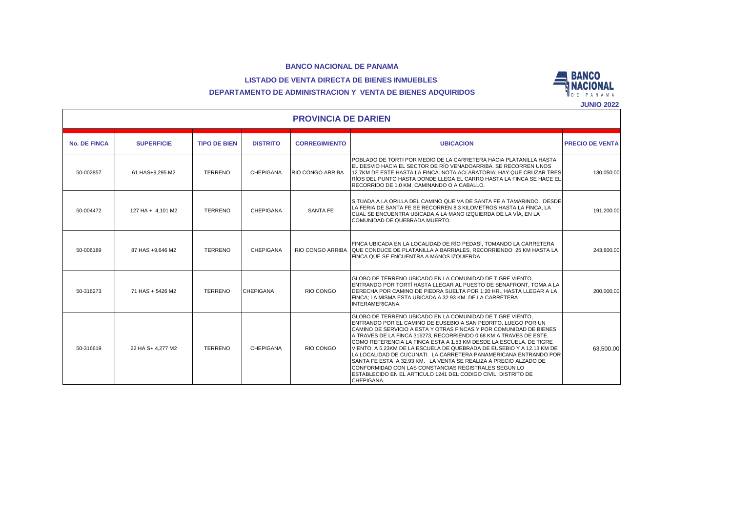



## **DEPARTAMENTO DE ADMINISTRACION Y VENTA DE BIENES ADQUIRIDOS**

|                            |                   |                     |                  |                         |                                                                                                                                                                                                                                                                                                                                                                                                                                                                                                                                                                                                                                                                                                       | JUNIU ZUZZ             |  |  |  |  |
|----------------------------|-------------------|---------------------|------------------|-------------------------|-------------------------------------------------------------------------------------------------------------------------------------------------------------------------------------------------------------------------------------------------------------------------------------------------------------------------------------------------------------------------------------------------------------------------------------------------------------------------------------------------------------------------------------------------------------------------------------------------------------------------------------------------------------------------------------------------------|------------------------|--|--|--|--|
| <b>PROVINCIA DE DARIEN</b> |                   |                     |                  |                         |                                                                                                                                                                                                                                                                                                                                                                                                                                                                                                                                                                                                                                                                                                       |                        |  |  |  |  |
| <b>No. DE FINCA</b>        | <b>SUPERFICIE</b> | <b>TIPO DE BIEN</b> | <b>DISTRITO</b>  | <b>CORREGIMIENTO</b>    | <b>UBICACION</b>                                                                                                                                                                                                                                                                                                                                                                                                                                                                                                                                                                                                                                                                                      | <b>PRECIO DE VENTA</b> |  |  |  |  |
| 50-002857                  | 61 HAS+9,295 M2   | <b>TERRENO</b>      | CHEPIGANA        | <b>RIO CONGO ARRIBA</b> | POBLADO DE TORTI POR MEDIO DE LA CARRETERA HACIA PLATANILLA HASTA<br>EL DESVIO HACIA EL SECTOR DE RÍO VENADOARRIBA. SE RECORREN UNOS<br>12.7KM DE ESTE HASTA LA FINCA. NOTA ACLARATORIA: HAY QUE CRUZAR TRES<br>RÍOS DEL PUNTO HASTA DONDE LLEGA EL CARRO HASTA LA FINCA SE HACE EL<br>RECORRIDO DE 1.0 KM, CAMINANDO O A CABALLO.                                                                                                                                                                                                                                                                                                                                                                    | 130,050.00             |  |  |  |  |
| 50-004472                  | 127 HA + 4,101 M2 | <b>TERRENO</b>      | <b>CHEPIGANA</b> | <b>SANTA FE</b>         | SITUADA A LA ORILLA DEL CAMINO QUE VA DE SANTA FE A TAMARINDO. DESDE<br>LA FERIA DE SANTA FE SE RECORREN 8.3 KILOMETROS HASTA LA FINCA. LA<br>CUAL SE ENCUENTRA UBICADA A LA MANO IZQUIERDA DE LA VÍA, EN LA<br>COMUNIDAD DE QUEBRADA MUERTO.                                                                                                                                                                                                                                                                                                                                                                                                                                                         | 191,200.00             |  |  |  |  |
| 50-006189                  | 87 HAS +9.646 M2  | <b>TERRENO</b>      | <b>CHEPIGANA</b> |                         | FINCA UBICADA EN LA LOCALIDAD DE RÍO PEDASÍ. TOMANDO LA CARRETERA<br>RIO CONGO ARRIBA QUE CONDUCE DE PLATANILLA A BARRIALES. RECORRIENDO 25 KM HASTA LA<br>FINCA QUE SE ENCUENTRA A MANOS IZQUIERDA.                                                                                                                                                                                                                                                                                                                                                                                                                                                                                                  | 243.600.00             |  |  |  |  |
| 50-316273                  | 71 HAS + 5426 M2  | <b>TERRENO</b>      | <b>CHEPIGANA</b> | RIO CONGO               | GLOBO DE TERRENO UBICADO EN LA COMUNIDAD DE TIGRE VIENTO.<br>ENTRANDO POR TORTÍ HASTA LLEGAR AL PUESTO DE SENAFRONT. TOMA A LA<br>DERECHA POR CAMINO DE PIEDRA SUELTA POR 1:20 HR., HASTA LLEGAR A LA<br>FINCA: LA MISMA ESTA UBICADA A 32.93 KM. DE LA CARRETERA<br>INTERAMERICANA.                                                                                                                                                                                                                                                                                                                                                                                                                  | 200,000.00             |  |  |  |  |
| 50-316619                  | 22 HA S+ 4.277 M2 | <b>TERRENO</b>      | CHEPIGANA        | RIO CONGO               | GLOBO DE TERRENO UBICADO EN LA COMUNIDAD DE TIGRE VIENTO.<br>ENTRANDO POR EL CAMINO DE EUSEBIO A SAN PEDRITO. LUEGO POR UN<br>CAMINO DE SERVICIO A ESTA Y OTRAS FINCAS Y POR COMUNIDAD DE BIENES<br>A TRAVES DE LA FINCA 316273, RECORRIENDO 0.68 KM A TRAVES DE ESTE.<br>ICOMO REFERENCIA LA FINCA ESTA A 1.53 KM DESDE LA ESCUELA. DE TIGRE<br>VIENTO. A 5.23KM DE LA ESCUELA DE QUEBRADA DE EUSEBIO Y A 12.13 KM DE<br>LA LOCALIDAD DE CUCUNATI. LA CARRETERA PANAMERICANA ENTRANDO POR<br>SANTA FE ESTA A 32.93 KM. LA VENTA SE REALIZA A PRECIO ALZADO DE<br>CONFORMIDAD CON LAS CONSTANCIAS REGISTRALES SEGUN LO<br>ESTABLECIDO EN EL ARTICULO 1241 DEL CODIGO CIVIL. DISTRITO DE<br>CHEPIGANA. | 63,500.00              |  |  |  |  |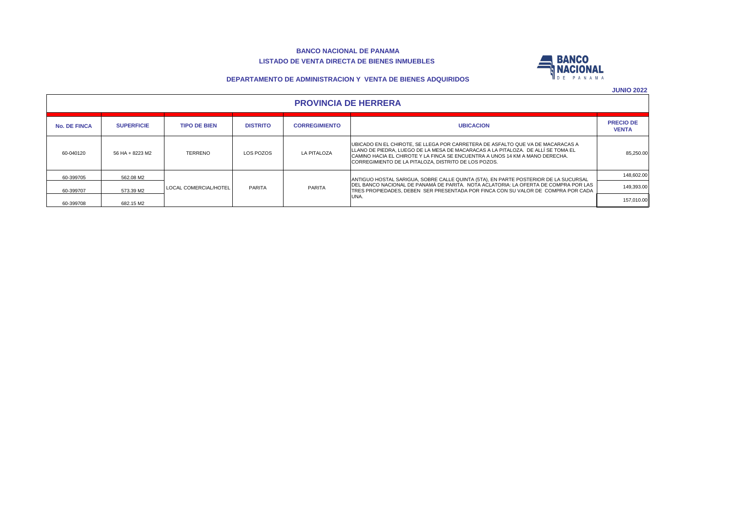#### **BANCO NACIONAL DE PANAMA LISTADO DE VENTA DIRECTA DE BIENES INMUEBLES**



#### **DEPARTAMENTO DE ADMINISTRACION Y VENTA DE BIENES ADQUIRIDOS**

| <b>PROVINCIA DE HERRERA</b> |
|-----------------------------|
|-----------------------------|

| <b>No. DE FINCA</b> | <b>SUPERFICIE</b> | <b>TIPO DE BIEN</b>   | <b>DISTRITO</b> | <b>CORREGIMIENTO</b> | <b>UBICACION</b>                                                                                                                                                                                                                                                                                            | <b>PRECIO DE</b><br><b>VENTA</b> |                                                                                     |            |  |  |  |  |  |  |  |  |  |  |  |  |  |  |  |  |  |  |
|---------------------|-------------------|-----------------------|-----------------|----------------------|-------------------------------------------------------------------------------------------------------------------------------------------------------------------------------------------------------------------------------------------------------------------------------------------------------------|----------------------------------|-------------------------------------------------------------------------------------|------------|--|--|--|--|--|--|--|--|--|--|--|--|--|--|--|--|--|--|
| 60-040120           | 56 HA + 8223 M2   | <b>TERRENO</b>        | LOS POZOS       | <b>LA PITALOZA</b>   | UBICADO EN EL CHIROTE. SE LLEGA POR CARRETERA DE ASFALTO QUE VA DE MACARACAS A<br>LLLANO DE PIEDRA. LUEGO DE LA MESA DE MACARACAS A LA PITALOZA. DE ALLÍ SE TOMA EL<br>CAMINO HACIA EL CHIROTE Y LA FINCA SE ENCUENTRA A UNOS 14 KM A MANO DERECHA.<br>CORREGIMIENTO DE LA PITALOZA. DISTRITO DE LOS POZOS. | 85.250.00                        |                                                                                     |            |  |  |  |  |  |  |  |  |  |  |  |  |  |  |  |  |  |  |
| 60-399705           | 562.08 M2         | LOCAL COMERCIAL/HOTEL | PARITA          | PARITA               |                                                                                                                                                                                                                                                                                                             |                                  | ANTIGUO HOSTAL SARIGUA, SOBRE CALLE QUINTA (5TA), EN PARTE POSTERIOR DE LA SUCURSAL | 148,602.00 |  |  |  |  |  |  |  |  |  |  |  |  |  |  |  |  |  |  |
| 60-399707           | 573.39 M2         |                       |                 |                      |                                                                                                                                                                                                                                                                                                             |                                  |                                                                                     |            |  |  |  |  |  |  |  |  |  |  |  |  |  |  |  |  |  |  |
| 60-399708           | 682.15 M2         |                       |                 |                      | UNA.                                                                                                                                                                                                                                                                                                        | 157.010.00                       |                                                                                     |            |  |  |  |  |  |  |  |  |  |  |  |  |  |  |  |  |  |  |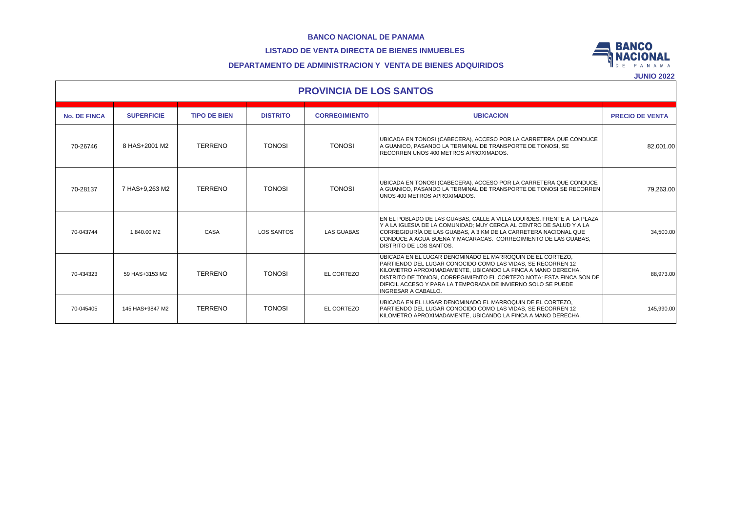# **LISTADO DE VENTA DIRECTA DE BIENES INMUEBLES**



## **DEPARTAMENTO DE ADMINISTRACION Y VENTA DE BIENES ADQUIRIDOS**

|                     | <b>PROVINCIA DE LOS SANTOS</b> |                     |                   |                      |                                                                                                                                                                                                                                                                                                                                                                 |                        |  |  |  |  |  |  |
|---------------------|--------------------------------|---------------------|-------------------|----------------------|-----------------------------------------------------------------------------------------------------------------------------------------------------------------------------------------------------------------------------------------------------------------------------------------------------------------------------------------------------------------|------------------------|--|--|--|--|--|--|
| <b>No. DE FINCA</b> | <b>SUPERFICIE</b>              | <b>TIPO DE BIEN</b> | <b>DISTRITO</b>   | <b>CORREGIMIENTO</b> | <b>UBICACION</b>                                                                                                                                                                                                                                                                                                                                                | <b>PRECIO DE VENTA</b> |  |  |  |  |  |  |
| 70-26746            | 8 HAS+2001 M2                  | <b>TERRENO</b>      | <b>TONOSI</b>     | <b>TONOSI</b>        | UBICADA EN TONOSI (CABECERA), ACCESO POR LA CARRETERA QUE CONDUCE<br>A GUANICO. PASANDO LA TERMINAL DE TRANSPORTE DE TONOSI. SE<br>RECORREN UNOS 400 METROS APROXIMADOS.                                                                                                                                                                                        | 82.001.00              |  |  |  |  |  |  |
| 70-28137            | 7 HAS+9.263 M2                 | <b>TERRENO</b>      | <b>TONOSI</b>     | <b>TONOSI</b>        | UBICADA EN TONOSI (CABECERA), ACCESO POR LA CARRETERA QUE CONDUCE<br>A GUANICO. PASANDO LA TERMINAL DE TRANSPORTE DE TONOSI SE RECORREN<br>UNOS 400 METROS APROXIMADOS.                                                                                                                                                                                         | 79,263.00              |  |  |  |  |  |  |
| 70-043744           | 1.840.00 M2                    | CASA                | <b>LOS SANTOS</b> | <b>LAS GUABAS</b>    | EN EL POBLADO DE LAS GUABAS, CALLE A VILLA LOURDES, FRENTE A LA PLAZA<br>Y A LA IGLESIA DE LA COMUNIDAD: MUY CERCA AL CENTRO DE SALUD Y A LA<br>CORREGIDURÍA DE LAS GUABAS. A 3 KM DE LA CARRETERA NACIONAL QUE<br>CONDUCE A AGUA BUENA Y MACARACAS. CORREGIMIENTO DE LAS GUABAS.<br><b>DISTRITO DE LOS SANTOS.</b>                                             | 34,500.00              |  |  |  |  |  |  |
| 70-434323           | 59 HAS+3153 M2                 | <b>TERRENO</b>      | <b>TONOSI</b>     | EL CORTEZO           | UBICADA EN EL LUGAR DENOMINADO EL MARROQUIN DE EL CORTEZO.<br>PARTIENDO DEL LUGAR CONOCIDO COMO LAS VIDAS. SE RECORREN 12<br>KILOMETRO APROXIMADAMENTE, UBICANDO LA FINCA A MANO DERECHA,<br>DISTRITO DE TONOSI. CORREGIMIENTO EL CORTEZO.NOTA: ESTA FINCA SON DE<br>DIFICIL ACCESO Y PARA LA TEMPORADA DE INVIERNO SOLO SE PUEDE<br><b>INGRESAR A CABALLO.</b> | 88,973.00              |  |  |  |  |  |  |
| 70-045405           | 145 HAS+9847 M2                | <b>TERRENO</b>      | <b>TONOSI</b>     | EL CORTEZO           | UBICADA EN EL LUGAR DENOMINADO EL MARROQUIN DE EL CORTEZO.<br>PARTIENDO DEL LUGAR CONOCIDO COMO LAS VIDAS, SE RECORREN 12<br>KILOMETRO APROXIMADAMENTE. UBICANDO LA FINCA A MANO DERECHA.                                                                                                                                                                       | 145,990.00             |  |  |  |  |  |  |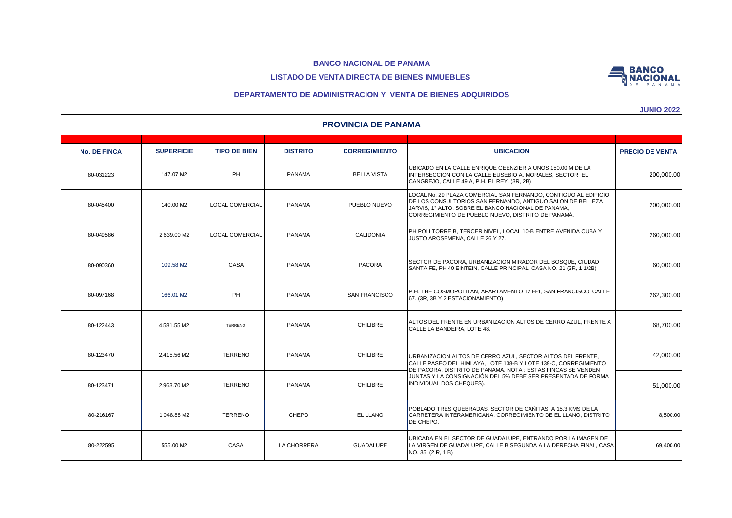# **LISTADO DE VENTA DIRECTA DE BIENES INMUEBLES**



**JUNIO 2022**

**BANCO NACIONAL** 

|                     | <b>PROVINCIA DE PANAMA</b> |                        |                 |                      |                                                                                                                                                                                                                                            |                        |  |  |  |  |  |  |
|---------------------|----------------------------|------------------------|-----------------|----------------------|--------------------------------------------------------------------------------------------------------------------------------------------------------------------------------------------------------------------------------------------|------------------------|--|--|--|--|--|--|
| <b>No. DE FINCA</b> | <b>SUPERFICIE</b>          | <b>TIPO DE BIEN</b>    | <b>DISTRITO</b> | <b>CORREGIMIENTO</b> | <b>UBICACION</b>                                                                                                                                                                                                                           | <b>PRECIO DE VENTA</b> |  |  |  |  |  |  |
| 80-031223           | 147.07 M2                  | PH                     | <b>PANAMA</b>   | <b>BELLA VISTA</b>   | UBICADO EN LA CALLE ENRIQUE GEENZIER A UNOS 150.00 M DE LA<br>INTERSECCION CON LA CALLE EUSEBIO A. MORALES, SECTOR EL<br>CANGREJO, CALLE 49 A, P.H. EL REY. (3R, 2B)                                                                       | 200,000.00             |  |  |  |  |  |  |
| 80-045400           | 140.00 M2                  | <b>LOCAL COMERCIAL</b> | <b>PANAMA</b>   | PUEBLO NUEVO         | LOCAL No. 29 PLAZA COMERCIAL SAN FERNANDO, CONTIGUO AL EDIFICIO<br>DE LOS CONSULTORIOS SAN FERNANDO, ANTIGUO SALON DE BELLEZA<br>JARVIS, 1º ALTO, SOBRE EL BANCO NACIONAL DE PANAMA,<br>CORREGIMIENTO DE PUEBLO NUEVO. DISTRITO DE PANAMÁ. | 200,000.00             |  |  |  |  |  |  |
| 80-049586           | 2.639.00 M2                | LOCAL COMERCIAL        | <b>PANAMA</b>   | CALIDONIA            | PH POLI TORRE B, TERCER NIVEL, LOCAL 10-B ENTRE AVENIDA CUBA Y<br>JUSTO AROSEMENA, CALLE 26 Y 27.                                                                                                                                          | 260,000.00             |  |  |  |  |  |  |
| 80-090360           | 109.58 M2                  | CASA                   | <b>PANAMA</b>   | <b>PACORA</b>        | SECTOR DE PACORA, URBANIZACION MIRADOR DEL BOSQUE, CIUDAD<br>SANTA FE, PH 40 EINTEIN, CALLE PRINCIPAL, CASA NO. 21 (3R, 1 1/2B)                                                                                                            | 60,000.00              |  |  |  |  |  |  |
| 80-097168           | 166.01 M2                  | PH                     | <b>PANAMA</b>   | <b>SAN FRANCISCO</b> | P.H. THE COSMOPOLITAN, APARTAMENTO 12 H-1, SAN FRANCISCO, CALLE<br>67. (3R, 3B Y 2 ESTACIONAMIENTO)                                                                                                                                        | 262.300.00             |  |  |  |  |  |  |
| 80-122443           | 4.581.55 M2                | <b>TERRENO</b>         | <b>PANAMA</b>   | <b>CHILIBRE</b>      | ALTOS DEL FRENTE EN URBANIZACION ALTOS DE CERRO AZUL, FRENTE A<br>CALLE LA BANDEIRA, LOTE 48.                                                                                                                                              | 68,700.00              |  |  |  |  |  |  |
| 80-123470           | 2.415.56 M2                | <b>TERRENO</b>         | <b>PANAMA</b>   | <b>CHILIBRE</b>      | URBANIZACION ALTOS DE CERRO AZUL, SECTOR ALTOS DEL FRENTE,<br>CALLE PASEO DEL HIMLAYA, LOTE 138-B Y LOTE 139-C, CORREGIMIENTO<br>DE PACORA, DISTRITO DE PANAMA. NOTA : ESTAS FINCAS SE VENDEN                                              | 42,000.00              |  |  |  |  |  |  |
| 80-123471           | 2.963.70 M2                | <b>TERRENO</b>         | <b>PANAMA</b>   | <b>CHILIBRE</b>      | JUNTAS Y LA CONSIGNACIÓN DEL 5% DEBE SER PRESENTADA DE FORMA<br>INDIVIDUAL DOS CHEQUES).                                                                                                                                                   | 51,000.00              |  |  |  |  |  |  |
| 80-216167           | 1,048.88 M2                | <b>TERRENO</b>         | CHEPO           | EL LLANO             | POBLADO TRES QUEBRADAS, SECTOR DE CAÑITAS, A 15.3 KMS DE LA<br>CARRETERA INTERAMERICANA, CORREGIMIENTO DE EL LLANO, DISTRITO<br>DE CHEPO.                                                                                                  | 8,500.00               |  |  |  |  |  |  |
| 80-222595           | 555.00 M2                  | CASA                   | LA CHORRERA     | <b>GUADALUPE</b>     | UBICADA EN EL SECTOR DE GUADALUPE, ENTRANDO POR LA IMAGEN DE<br>LA VIRGEN DE GUADALUPE, CALLE B SEGUNDA A LA DERECHA FINAL, CASA<br>NO. 35. (2 R, 1 B)                                                                                     | 69,400.00              |  |  |  |  |  |  |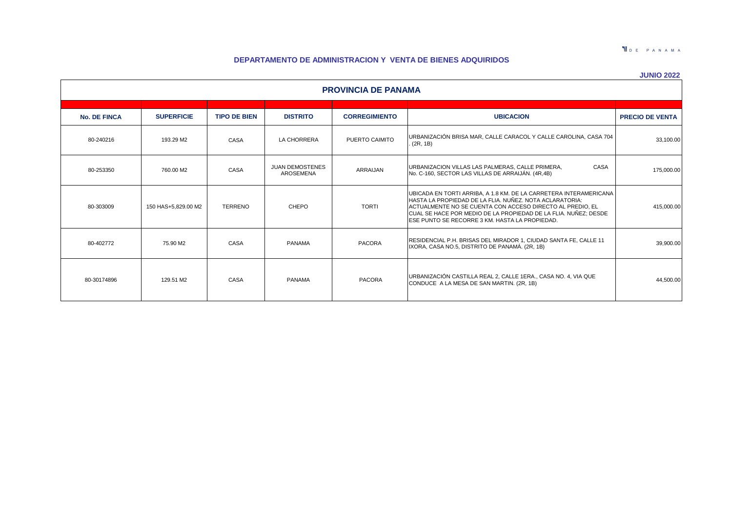**NDEPANAMA** 

# **DEPARTAMENTO DE ADMINISTRACION Y VENTA DE BIENES ADQUIRIDOS**

|--|--|

| <b>PROVINCIA DE PANAMA</b> |                     |                     |                                     |                      |                                                                                                                                                                                                                                                                                                                |                        |  |  |  |  |
|----------------------------|---------------------|---------------------|-------------------------------------|----------------------|----------------------------------------------------------------------------------------------------------------------------------------------------------------------------------------------------------------------------------------------------------------------------------------------------------------|------------------------|--|--|--|--|
| <b>No. DE FINCA</b>        | <b>SUPERFICIE</b>   | <b>TIPO DE BIEN</b> | <b>DISTRITO</b>                     | <b>CORREGIMIENTO</b> | <b>UBICACION</b>                                                                                                                                                                                                                                                                                               | <b>PRECIO DE VENTA</b> |  |  |  |  |
|                            |                     |                     |                                     |                      |                                                                                                                                                                                                                                                                                                                |                        |  |  |  |  |
| 80-240216                  | 193.29 M2           | CASA                | LA CHORRERA                         | PUERTO CAIMITO       | URBANIZACIÓN BRISA MAR. CALLE CARACOL Y CALLE CAROLINA, CASA 704<br>(2R, 1B)                                                                                                                                                                                                                                   | 33,100.00              |  |  |  |  |
| 80-253350                  | 760.00 M2           | CASA                | <b>JUAN DEMOSTENES</b><br>AROSEMENA | ARRAIJAN             | CASA<br>URBANIZACION VILLAS LAS PALMERAS, CALLE PRIMERA,<br>No. C-160, SECTOR LAS VILLAS DE ARRAIJÁN. (4R,4B)                                                                                                                                                                                                  | 175,000.00             |  |  |  |  |
| 80-303009                  | 150 HAS+5.829.00 M2 | <b>TERRENO</b>      | CHEPO                               | <b>TORTI</b>         | UBICADA EN TORTI ARRIBA, A 1.8 KM. DE LA CARRETERA INTERAMERICANA<br>HASTA LA PROPIEDAD DE LA FLIA. NUÑEZ. NOTA ACLARATORIA:<br>ACTUALMENTE NO SE CUENTA CON ACCESO DIRECTO AL PREDIO, EL<br>CUAL SE HACE POR MEDIO DE LA PROPIEDAD DE LA FLIA. NUÑEZ; DESDE<br>ESE PUNTO SE RECORRE 3 KM. HASTA LA PROPIEDAD. | 415,000.00             |  |  |  |  |
| 80-402772                  | 75.90 M2            | CASA                | PANAMA                              | <b>PACORA</b>        | RESIDENCIAL P.H. BRISAS DEL MIRADOR 1, CIUDAD SANTA FE, CALLE 11<br>IXORA, CASA NO.5, DISTRITO DE PANAMÁ. (2R, 1B)                                                                                                                                                                                             | 39,900.00              |  |  |  |  |
| 80-30174896                | 129.51 M2           | CASA                | <b>PANAMA</b>                       | <b>PACORA</b>        | URBANIZACIÓN CASTILLA REAL 2, CALLE 1ERA., CASA NO. 4, VIA QUE<br>CONDUCE A LA MESA DE SAN MARTIN. (2R, 1B)                                                                                                                                                                                                    | 44,500.00              |  |  |  |  |